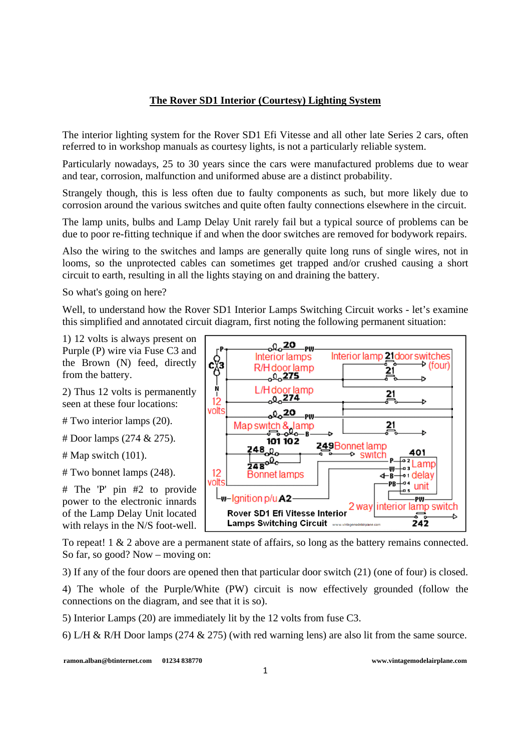## **The Rover SD1 Interior (Courtesy) Lighting System**

The interior lighting system for the Rover SD1 Efi Vitesse and all other late Series 2 cars, often referred to in workshop manuals as courtesy lights, is not a particularly reliable system.

Particularly nowadays, 25 to 30 years since the cars were manufactured problems due to wear and tear, corrosion, malfunction and uniformed abuse are a distinct probability.

Strangely though, this is less often due to faulty components as such, but more likely due to corrosion around the various switches and quite often faulty connections elsewhere in the circuit.

The lamp units, bulbs and Lamp Delay Unit rarely fail but a typical source of problems can be due to poor re-fitting technique if and when the door switches are removed for bodywork repairs.

Also the wiring to the switches and lamps are generally quite long runs of single wires, not in looms, so the unprotected cables can sometimes get trapped and/or crushed causing a short circuit to earth, resulting in all the lights staying on and draining the battery.

So what's going on here?

Well, to understand how the Rover SD1 Interior Lamps Switching Circuit works - let's examine this simplified and annotated circuit diagram, first noting the following permanent situation:

1) 12 volts is always present on Purple (P) wire via Fuse C3 and the Brown (N) feed, directly from the battery.

2) Thus 12 volts is permanently seen at these four locations:

# Two interior lamps (20).

# Door lamps (274 & 275).

 $#$  Map switch  $(101)$ .

# Two bonnet lamps (248).

# The 'P' pin #2 to provide power to the electronic innards of the Lamp Delay Unit located with relays in the N/S foot-well.

<sub>⊙</sub>0<sub>o</sub>20\_թա Interior lamp 21 door switches **Interior lamps** င်္ဂနီ  $\rightarrow$  (four) R/H door lamp -<br>21  $\frac{10001}{6}$ đ  $\begin{array}{c} 1 \\ 1 \\ 1 \end{array}$ L/H door lamp  $21$  $0.274$ ь volts <u>00020م</u> -PW Map switch & lamp 21 101102 249Bonnet lamp 248.00 401 → switch  $\frac{1}{248}$ <sup>0</sup>°  $12$ **Bonnet lamps** d⊣B delay volts ·PB unit  $L_{\text{W}}$ -Ignition p/u A2 -PWinterior lamp switch 2 way Rover SD1 Efi Vitesse Interior 242 Lamps Switching Circuit »

To repeat! 1 & 2 above are a permanent state of affairs, so long as the battery remains connected. So far, so good? Now – moving on:

3) If any of the four doors are opened then that particular door switch (21) (one of four) is closed.

4) The whole of the Purple/White (PW) circuit is now effectively grounded (follow the connections on the diagram, and see that it is so).

5) Interior Lamps (20) are immediately lit by the 12 volts from fuse C3.

6) L/H & R/H Door lamps (274 & 275) (with red warning lens) are also lit from the same source.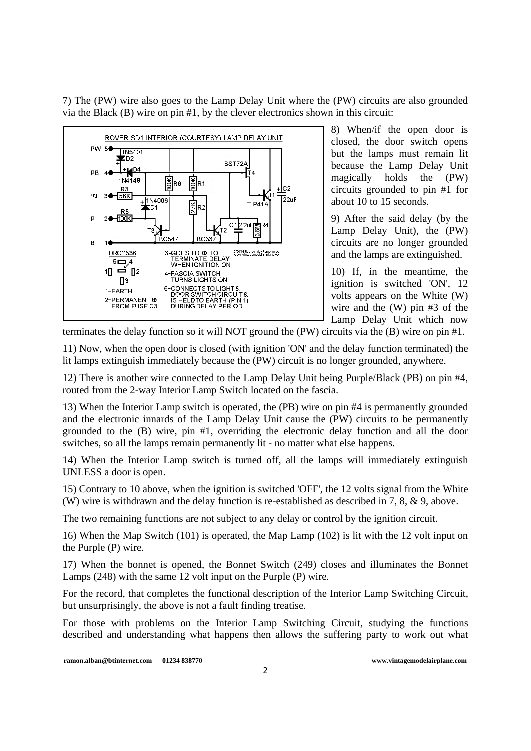7) The (PW) wire also goes to the Lamp Delay Unit where the (PW) circuits are also grounded via the Black (B) wire on pin #1, by the clever electronics shown in this circuit:



8) When/if the open door is closed, the door switch opens but the lamps must remain lit because the Lamp Delay Unit magically holds the (PW) circuits grounded to pin #1 for about 10 to 15 seconds.

9) After the said delay (by the Lamp Delay Unit), the (PW) circuits are no longer grounded and the lamps are extinguished.

10) If, in the meantime, the ignition is switched 'ON', 12 volts appears on the White (W) wire and the (W) pin #3 of the Lamp Delay Unit which now

terminates the delay function so it will NOT ground the (PW) circuits via the (B) wire on pin #1.

11) Now, when the open door is closed (with ignition 'ON' and the delay function terminated) the lit lamps extinguish immediately because the (PW) circuit is no longer grounded, anywhere.

12) There is another wire connected to the Lamp Delay Unit being Purple/Black (PB) on pin #4, routed from the 2-way Interior Lamp Switch located on the fascia.

13) When the Interior Lamp switch is operated, the (PB) wire on pin #4 is permanently grounded and the electronic innards of the Lamp Delay Unit cause the (PW) circuits to be permanently grounded to the (B) wire, pin #1, overriding the electronic delay function and all the door switches, so all the lamps remain permanently lit - no matter what else happens.

14) When the Interior Lamp switch is turned off, all the lamps will immediately extinguish UNLESS a door is open.

15) Contrary to 10 above, when the ignition is switched 'OFF', the 12 volts signal from the White (W) wire is withdrawn and the delay function is re-established as described in 7, 8, & 9, above.

The two remaining functions are not subject to any delay or control by the ignition circuit.

16) When the Map Switch (101) is operated, the Map Lamp (102) is lit with the 12 volt input on the Purple (P) wire.

17) When the bonnet is opened, the Bonnet Switch (249) closes and illuminates the Bonnet Lamps (248) with the same 12 volt input on the Purple (P) wire.

For the record, that completes the functional description of the Interior Lamp Switching Circuit, but unsurprisingly, the above is not a fault finding treatise.

For those with problems on the Interior Lamp Switching Circuit, studying the functions described and understanding what happens then allows the suffering party to work out what